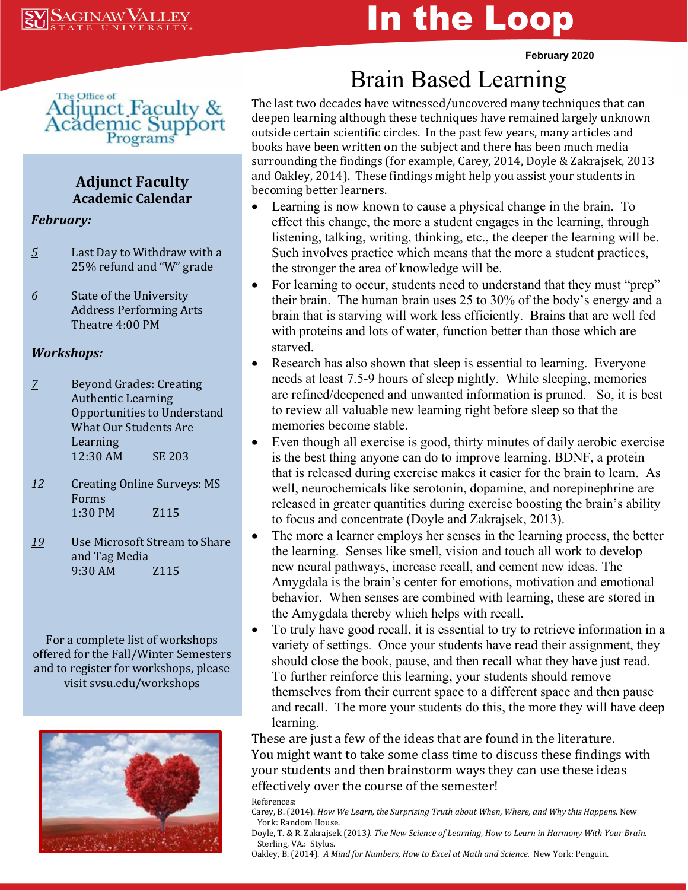# In the Loop

**February 2020**



#### **Adjunct Faculty Academic Calendar**

#### *February:*

- *5* Last Day to Withdraw with a 25% refund and "W" grade
- *6* State of the University Address Performing Arts Theatre 4:00 PM

#### *Workshops:*

- *7* Beyond Grades: Creating Authentic Learning Opportunities to Understand What Our Students Are Learning 12:30 AM SE 203
- *12* Creating Online Surveys: MS Forms 1:30 PM Z115
- *19* Use Microsoft Stream to Share and Tag Media 9:30 AM Z115

For a complete list of workshops offered for the Fall/Winter Semesters and to register for workshops, please visit svsu.edu/workshops



## Brain Based Learning

The last two decades have witnessed/uncovered many techniques that can deepen learning although these techniques have remained largely unknown outside certain scientific circles. In the past few years, many articles and books have been written on the subject and there has been much media surrounding the findings (for example, Carey, 2014, Doyle & Zakrajsek, 2013 and Oakley, 2014). These findings might help you assist your students in becoming better learners.<br>• Learning is now know

- Learning is now known to cause a physical change in the brain. To effect this change, the more a student engages in the learning, through listening, talking, writing, thinking, etc., the deeper the learning will be. Such involves practice which means that the more a student practices, the stronger the area of knowledge will be.
- For learning to occur, students need to understand that they must "prep" their brain. The human brain uses 25 to 30% of the body's energy and a brain that is starving will work less efficiently. Brains that are well fed with proteins and lots of water, function better than those which are starved.
- Research has also shown that sleep is essential to learning. Everyone needs at least 7.5-9 hours of sleep nightly. While sleeping, memories are refined/deepened and unwanted information is pruned. So, it is best to review all valuable new learning right before sleep so that the memories become stable.
- Even though all exercise is good, thirty minutes of daily aerobic exercise is the best thing anyone can do to improve learning. BDNF, a protein that is released during exercise makes it easier for the brain to learn. As well, neurochemicals like serotonin, dopamine, and norepinephrine are released in greater quantities during exercise boosting the brain's ability to focus and concentrate (Doyle and Zakrajsek, 2013).
- The more a learner employs her senses in the learning process, the better the learning. Senses like smell, vision and touch all work to develop new neural pathways, increase recall, and cement new ideas. The Amygdala is the brain's center for emotions, motivation and emotional behavior. When senses are combined with learning, these are stored in the Amygdala thereby which helps with recall.
- To truly have good recall, it is essential to try to retrieve information in a variety of settings. Once your students have read their assignment, they should close the book, pause, and then recall what they have just read. To further reinforce this learning, your students should remove themselves from their current space to a different space and then pause and recall. The more your students do this, the more they will have deep learning.

These are just a few of the ideas that are found in the literature. You might want to take some class time to discuss these findings with your students and then brainstorm ways they can use these ideas effectively over the course of the semester!

References:

Doyle, T. & R. Zakrajsek (2013*). The New Science of Learning, How to Learn in Harmony With Your Brain.*  Sterling, VA.: Stylus.

Oakley, B. (2014). *A Mind for Numbers, How to Excel at Math and Science.* New York: Penguin.

Carey, B. (2014). *How We Learn, the Surprising Truth about When, Where, and Why this Happens.* New York: Random House.